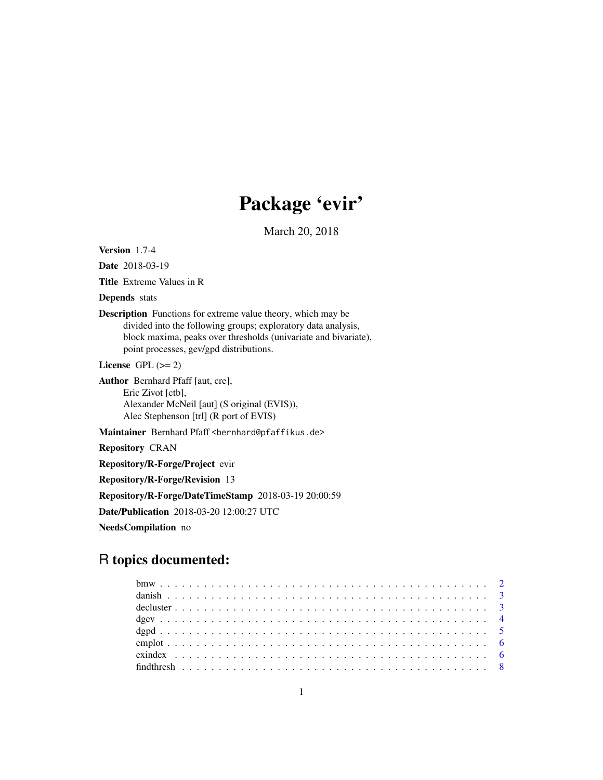# Package 'evir'

March 20, 2018

<span id="page-0-0"></span>Version 1.7-4

Date 2018-03-19

Title Extreme Values in R

Depends stats

Description Functions for extreme value theory, which may be divided into the following groups; exploratory data analysis, block maxima, peaks over thresholds (univariate and bivariate), point processes, gev/gpd distributions.

License GPL  $(>= 2)$ 

Author Bernhard Pfaff [aut, cre], Eric Zivot [ctb], Alexander McNeil [aut] (S original (EVIS)), Alec Stephenson [trl] (R port of EVIS)

Maintainer Bernhard Pfaff <bernhard@pfaffikus.de>

Repository CRAN

Repository/R-Forge/Project evir

Repository/R-Forge/Revision 13

Repository/R-Forge/DateTimeStamp 2018-03-19 20:00:59

Date/Publication 2018-03-20 12:00:27 UTC

NeedsCompilation no

# R topics documented: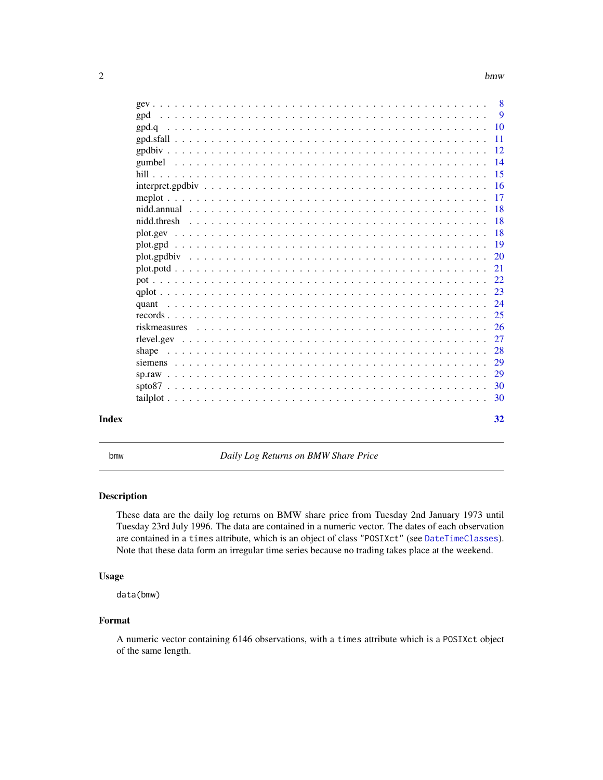<span id="page-1-0"></span>

| Index | 32 |
|-------|----|

bmw *Daily Log Returns on BMW Share Price*

#### Description

These data are the daily log returns on BMW share price from Tuesday 2nd January 1973 until Tuesday 23rd July 1996. The data are contained in a numeric vector. The dates of each observation are contained in a times attribute, which is an object of class "POSIXct" (see [DateTimeClasses](#page-0-0)). Note that these data form an irregular time series because no trading takes place at the weekend.

# Usage

data(bmw)

#### Format

A numeric vector containing 6146 observations, with a times attribute which is a POSIXct object of the same length.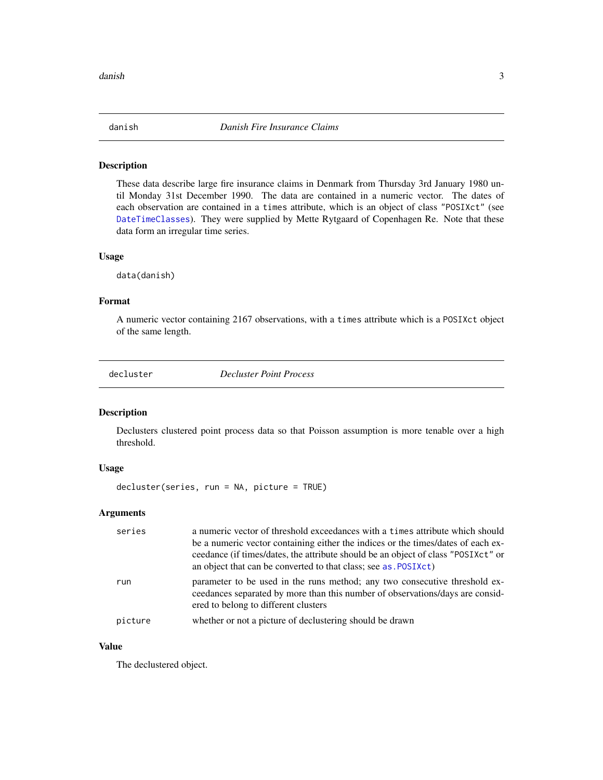<span id="page-2-0"></span>

These data describe large fire insurance claims in Denmark from Thursday 3rd January 1980 until Monday 31st December 1990. The data are contained in a numeric vector. The dates of each observation are contained in a times attribute, which is an object of class "POSIXct" (see [DateTimeClasses](#page-0-0)). They were supplied by Mette Rytgaard of Copenhagen Re. Note that these data form an irregular time series.

#### Usage

data(danish)

# Format

A numeric vector containing 2167 observations, with a times attribute which is a POSIXct object of the same length.

<span id="page-2-1"></span>decluster *Decluster Point Process*

# Description

Declusters clustered point process data so that Poisson assumption is more tenable over a high threshold.

# Usage

decluster(series, run = NA, picture = TRUE)

### Arguments

| series  | a numeric vector of threshold exceedances with a times attribute which should<br>be a numeric vector containing either the indices or the times/dates of each ex-<br>ceedance (if times/dates, the attribute should be an object of class "POSIXct" or<br>an object that can be converted to that class; see as . POSIXct) |
|---------|----------------------------------------------------------------------------------------------------------------------------------------------------------------------------------------------------------------------------------------------------------------------------------------------------------------------------|
| run     | parameter to be used in the runs method; any two consecutive threshold ex-<br>ceedances separated by more than this number of observations/days are consid-<br>ered to belong to different clusters                                                                                                                        |
| picture | whether or not a picture of declustering should be drawn                                                                                                                                                                                                                                                                   |

# Value

The declustered object.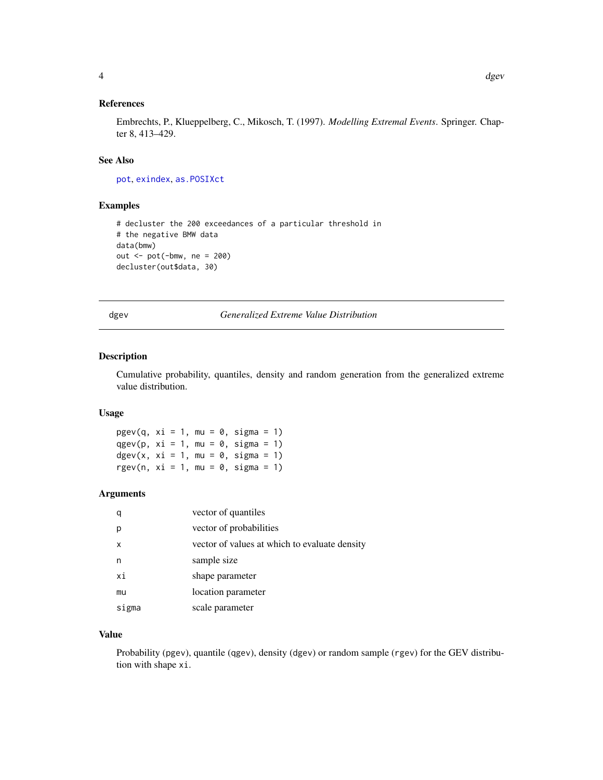# <span id="page-3-0"></span>References

Embrechts, P., Klueppelberg, C., Mikosch, T. (1997). *Modelling Extremal Events*. Springer. Chapter 8, 413–429.

#### See Also

[pot](#page-21-1), [exindex](#page-5-1), [as.POSIXct](#page-0-0)

# Examples

```
# decluster the 200 exceedances of a particular threshold in
# the negative BMW data
data(bmw)
out <- pot(-bmw, ne = 200)
decluster(out$data, 30)
```
<span id="page-3-1"></span>dgev *Generalized Extreme Value Distribution*

# Description

Cumulative probability, quantiles, density and random generation from the generalized extreme value distribution.

#### Usage

 $pgev(q, xi = 1, mu = 0, sigma = 1)$ qgev(p,  $xi = 1$ , mu = 0, sigma = 1)  $dgev(x, xi = 1, mu = 0, sigma = 1)$ rgev(n,  $xi = 1$ , mu = 0, sigma = 1)

#### Arguments

|       | vector of quantiles                           |
|-------|-----------------------------------------------|
|       | vector of probabilities                       |
| x     | vector of values at which to evaluate density |
| n     | sample size                                   |
| хi    | shape parameter                               |
| mu    | location parameter                            |
| sigma | scale parameter                               |

# Value

Probability (pgev), quantile (qgev), density (dgev) or random sample (rgev) for the GEV distribution with shape xi.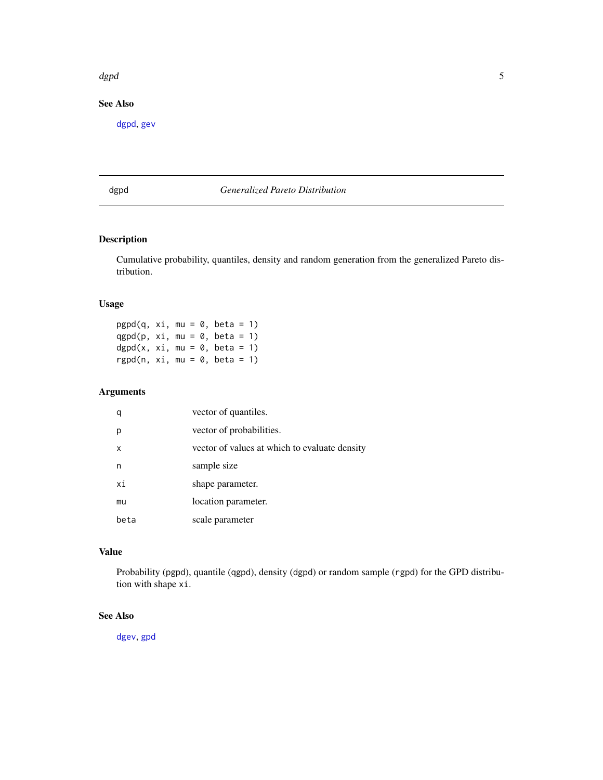#### <span id="page-4-0"></span>dgpd 55 to 55 to 55 to 55 to 55 to 55 to 55 to 55 to 55 to 55 to 55 to 55 to 55 to 55 to 55 to 55 to 55 to 55

# See Also

[dgpd](#page-4-1), [gev](#page-7-1)

# <span id="page-4-1"></span>dgpd *Generalized Pareto Distribution*

# Description

Cumulative probability, quantiles, density and random generation from the generalized Pareto distribution.

# Usage

 $pgpd(q, xi, mu = 0, beta = 1)$ qgpd(p,  $xi$ , mu = 0, beta = 1) dgpd(x, xi, mu =  $0$ , beta = 1) rgpd(n,  $xi$ i, mu = 0, beta = 1)

# Arguments

| q    | vector of quantiles.                          |
|------|-----------------------------------------------|
| p    | vector of probabilities.                      |
| X    | vector of values at which to evaluate density |
| n    | sample size                                   |
| хi   | shape parameter.                              |
| mu   | location parameter.                           |
| beta | scale parameter                               |

# Value

Probability (pgpd), quantile (qgpd), density (dgpd) or random sample (rgpd) for the GPD distribution with shape xi.

#### See Also

[dgev](#page-3-1), [gpd](#page-8-1)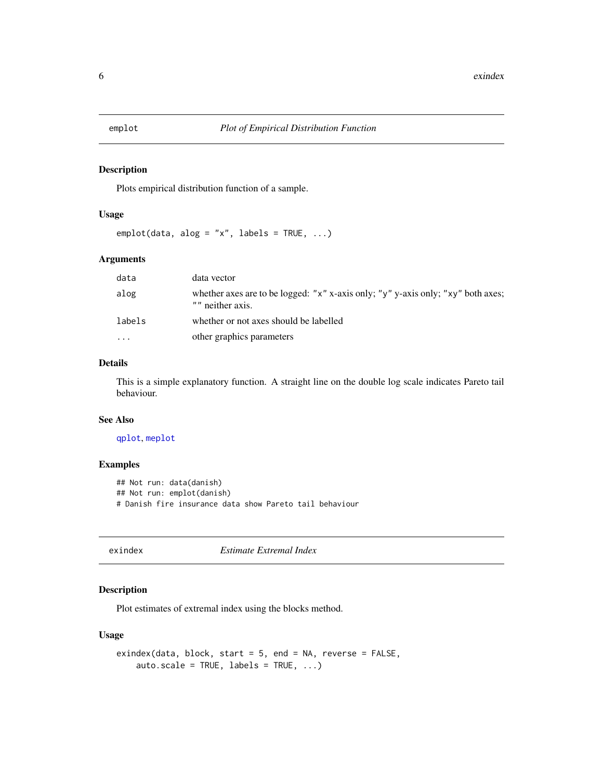<span id="page-5-0"></span>

Plots empirical distribution function of a sample.

#### Usage

 $emplot(data, alog = "x", labels = TRUE, ...)$ 

# Arguments

| whether axes are to be logged: "x" x-axis only; "y" y-axis only; "xy" both axes; |
|----------------------------------------------------------------------------------|
|                                                                                  |
|                                                                                  |
|                                                                                  |

# Details

This is a simple explanatory function. A straight line on the double log scale indicates Pareto tail behaviour.

# See Also

# [qplot](#page-22-1), [meplot](#page-16-1)

### Examples

```
## Not run: data(danish)
## Not run: emplot(danish)
# Danish fire insurance data show Pareto tail behaviour
```
<span id="page-5-1"></span>

exindex *Estimate Extremal Index*

# Description

Plot estimates of extremal index using the blocks method.

# Usage

```
exindex(data, block, start = 5, end = NA, reverse = FALSE,
   auto.scale = TRUE, labels = TRUE, ...)
```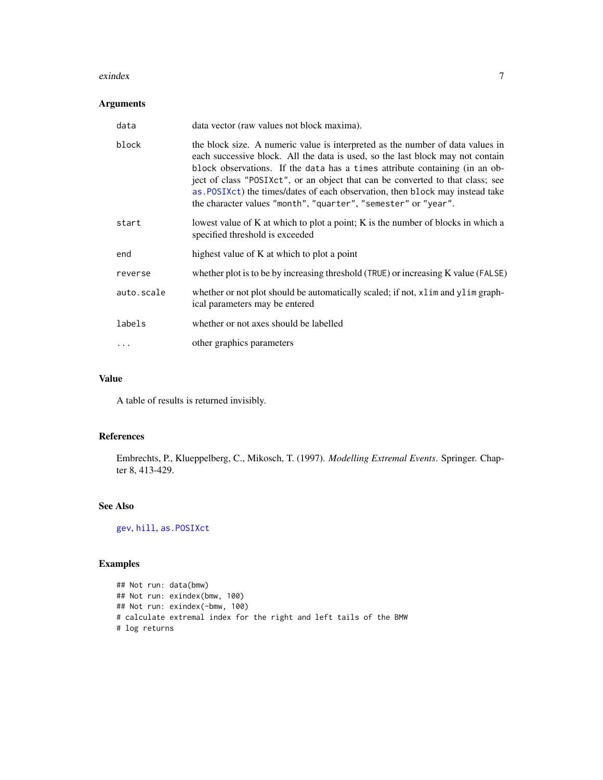#### <span id="page-6-0"></span>exindex 7

# Arguments

| data       | data vector (raw values not block maxima).                                                                                                                                                                                                                                                                                                                                                                                                                                           |
|------------|--------------------------------------------------------------------------------------------------------------------------------------------------------------------------------------------------------------------------------------------------------------------------------------------------------------------------------------------------------------------------------------------------------------------------------------------------------------------------------------|
| block      | the block size. A numeric value is interpreted as the number of data values in<br>each successive block. All the data is used, so the last block may not contain<br>block observations. If the data has a times attribute containing (in an ob-<br>ject of class "POSIXct", or an object that can be converted to that class; see<br>as POSIX ct) the times/dates of each observation, then block may instead take<br>the character values "month", "quarter", "semester" or "year". |
| start      | lowest value of K at which to plot a point; K is the number of blocks in which a<br>specified threshold is exceeded                                                                                                                                                                                                                                                                                                                                                                  |
| end        | highest value of K at which to plot a point                                                                                                                                                                                                                                                                                                                                                                                                                                          |
| reverse    | whether plot is to be by increasing threshold (TRUE) or increasing K value (FALSE)                                                                                                                                                                                                                                                                                                                                                                                                   |
| auto.scale | whether or not plot should be automatically scaled; if not, x l im and y l im graph-<br>ical parameters may be entered                                                                                                                                                                                                                                                                                                                                                               |
| labels     | whether or not axes should be labelled                                                                                                                                                                                                                                                                                                                                                                                                                                               |
| $\ddots$ . | other graphics parameters                                                                                                                                                                                                                                                                                                                                                                                                                                                            |

# Value

A table of results is returned invisibly.

# References

Embrechts, P., Klueppelberg, C., Mikosch, T. (1997). *Modelling Extremal Events*. Springer. Chapter 8, 413-429.

# See Also

[gev](#page-7-1), [hill](#page-14-1), [as.POSIXct](#page-0-0)

```
## Not run: data(bmw)
## Not run: exindex(bmw, 100)
## Not run: exindex(-bmw, 100)
# calculate extremal index for the right and left tails of the BMW
# log returns
```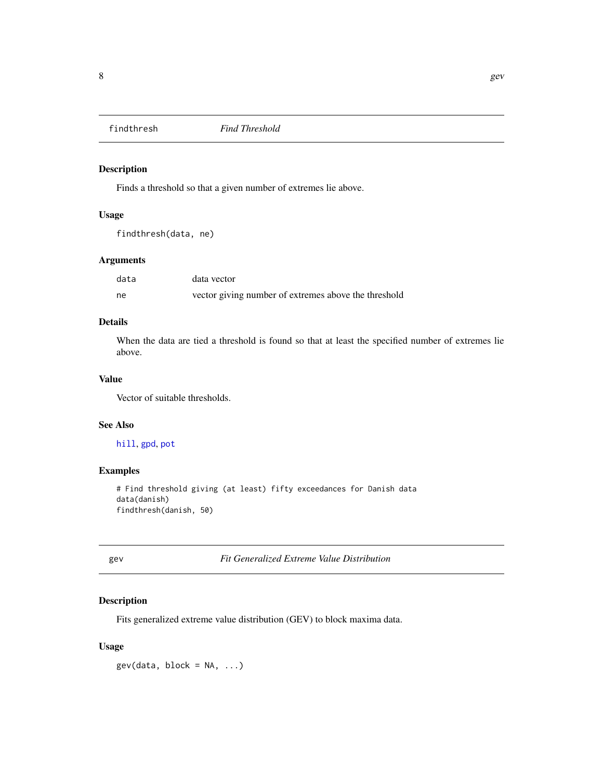<span id="page-7-0"></span>

Finds a threshold so that a given number of extremes lie above.

# Usage

```
findthresh(data, ne)
```
# Arguments

| data | data vector                                          |
|------|------------------------------------------------------|
| ne   | vector giving number of extremes above the threshold |

# Details

When the data are tied a threshold is found so that at least the specified number of extremes lie above.

# Value

Vector of suitable thresholds.

#### See Also

[hill](#page-14-1), [gpd](#page-8-1), [pot](#page-21-1)

# Examples

```
# Find threshold giving (at least) fifty exceedances for Danish data
data(danish)
findthresh(danish, 50)
```
<span id="page-7-1"></span>gev *Fit Generalized Extreme Value Distribution*

# Description

Fits generalized extreme value distribution (GEV) to block maxima data.

# Usage

 $gev(data, block = NA, ...)$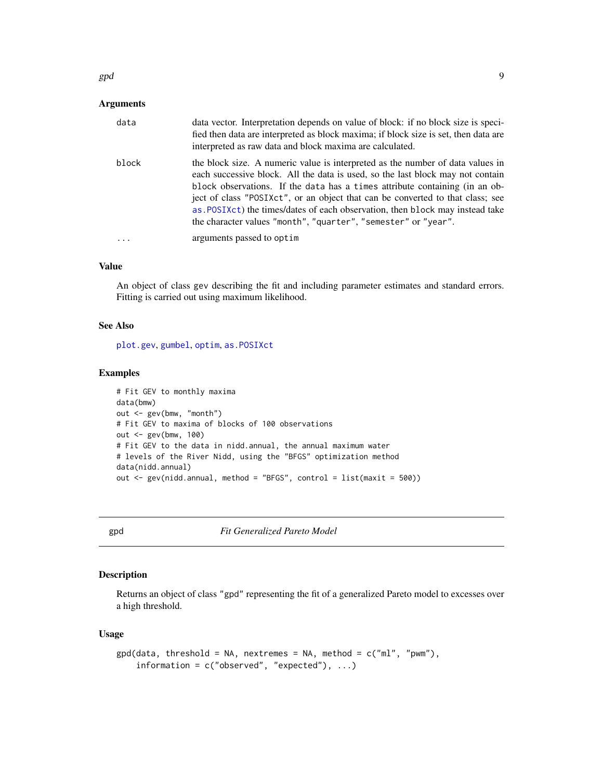<span id="page-8-0"></span> $g$ pd 9

### Arguments

| data  | data vector. Interpretation depends on value of block: if no block size is speci-<br>fied then data are interpreted as block maxima; if block size is set, then data are<br>interpreted as raw data and block maxima are calculated.                                                                                                                                                                                                                                                 |
|-------|--------------------------------------------------------------------------------------------------------------------------------------------------------------------------------------------------------------------------------------------------------------------------------------------------------------------------------------------------------------------------------------------------------------------------------------------------------------------------------------|
| block | the block size. A numeric value is interpreted as the number of data values in<br>each successive block. All the data is used, so the last block may not contain<br>block observations. If the data has a times attribute containing (in an ob-<br>ject of class "POSIXct", or an object that can be converted to that class; see<br>as POSIX ct) the times/dates of each observation, then block may instead take<br>the character values "month", "quarter", "semester" or "year". |
|       | arguments passed to optim                                                                                                                                                                                                                                                                                                                                                                                                                                                            |

# Value

An object of class gev describing the fit and including parameter estimates and standard errors. Fitting is carried out using maximum likelihood.

# See Also

[plot.gev](#page-17-1), [gumbel](#page-13-1), [optim](#page-0-0), [as.POSIXct](#page-0-0)

# Examples

```
# Fit GEV to monthly maxima
data(bmw)
out <- gev(bmw, "month")
# Fit GEV to maxima of blocks of 100 observations
out <- gev(bmw, 100)
# Fit GEV to the data in nidd.annual, the annual maximum water
# levels of the River Nidd, using the "BFGS" optimization method
data(nidd.annual)
out <- gev(nidd.annual, method = "BFGS", control = list(maxit = 500))
```
<span id="page-8-1"></span>gpd *Fit Generalized Pareto Model*

# Description

Returns an object of class "gpd" representing the fit of a generalized Pareto model to excesses over a high threshold.

#### Usage

```
gpd(data, threshold = NA, nextremes = NA, method = c("ml", "pwm"),information = c("observed", "expected"), ...)
```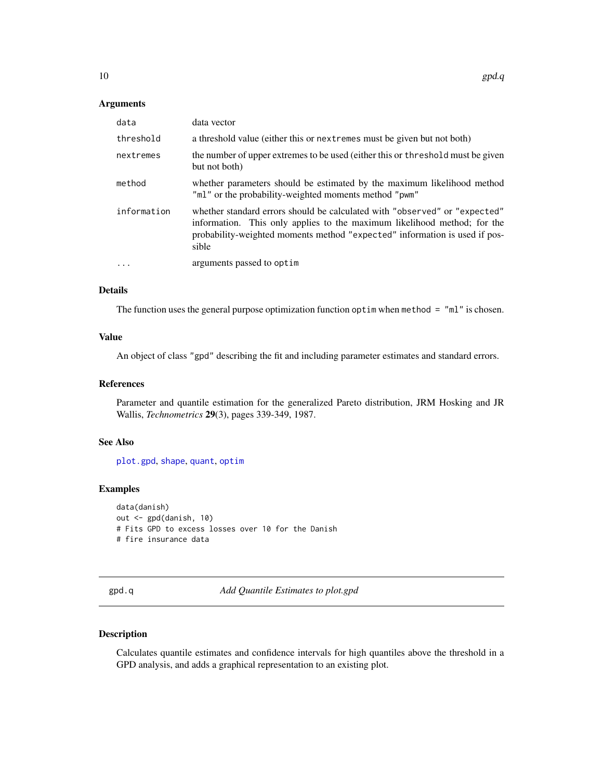#### <span id="page-9-0"></span>Arguments

| data        | data vector                                                                                                                                                                                                                                   |
|-------------|-----------------------------------------------------------------------------------------------------------------------------------------------------------------------------------------------------------------------------------------------|
| threshold   | a threshold value (either this or next remes must be given but not both)                                                                                                                                                                      |
| nextremes   | the number of upper extremes to be used (either this or threshold must be given<br>but not both)                                                                                                                                              |
| method      | whether parameters should be estimated by the maximum likelihood method<br>"ml" or the probability-weighted moments method "pwm"                                                                                                              |
| information | whether standard errors should be calculated with "observed" or "expected"<br>information. This only applies to the maximum likelihood method; for the<br>probability-weighted moments method "expected" information is used if pos-<br>sible |
| .           | arguments passed to optim                                                                                                                                                                                                                     |

# Details

The function uses the general purpose optimization function optim when method = "ml" is chosen.

#### Value

An object of class "gpd" describing the fit and including parameter estimates and standard errors.

#### References

Parameter and quantile estimation for the generalized Pareto distribution, JRM Hosking and JR Wallis, *Technometrics* 29(3), pages 339-349, 1987.

#### See Also

[plot.gpd](#page-18-1), [shape](#page-27-1), [quant](#page-23-1), [optim](#page-0-0)

#### Examples

```
data(danish)
out <- gpd(danish, 10)
# Fits GPD to excess losses over 10 for the Danish
# fire insurance data
```
<span id="page-9-1"></span>gpd.q *Add Quantile Estimates to plot.gpd*

# Description

Calculates quantile estimates and confidence intervals for high quantiles above the threshold in a GPD analysis, and adds a graphical representation to an existing plot.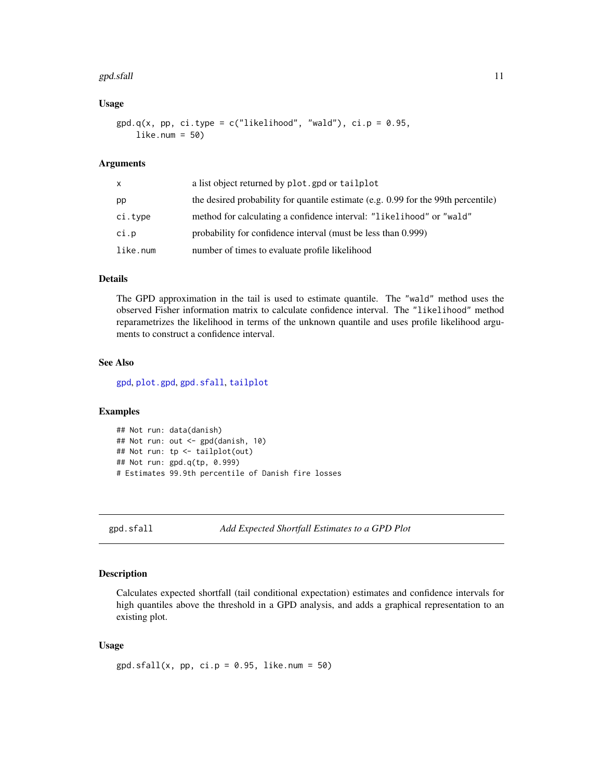#### <span id="page-10-0"></span>gpd.sfall and the state of the state of the state of the state of the state of the state of the state of the state of the state of the state of the state of the state of the state of the state of the state of the state of

# Usage

```
gpd.q(x, pp, ci.type = c("likelihood", "wald"), ci.p = 0.95,like.num = 50)
```
#### Arguments

| x        | a list object returned by plot.gpd or tailplot                                    |
|----------|-----------------------------------------------------------------------------------|
| pp       | the desired probability for quantile estimate (e.g. 0.99 for the 99th percentile) |
| ci.type  | method for calculating a confidence interval: "likelihood" or "wald"              |
| ci.p     | probability for confidence interval (must be less than 0.999)                     |
| like.num | number of times to evaluate profile likelihood                                    |

# Details

The GPD approximation in the tail is used to estimate quantile. The "wald" method uses the observed Fisher information matrix to calculate confidence interval. The "likelihood" method reparametrizes the likelihood in terms of the unknown quantile and uses profile likelihood arguments to construct a confidence interval.

# See Also

[gpd](#page-8-1), [plot.gpd](#page-18-1), [gpd.sfall](#page-10-1), [tailplot](#page-29-1)

# Examples

```
## Not run: data(danish)
## Not run: out <- gpd(danish, 10)
## Not run: tp <- tailplot(out)
## Not run: gpd.q(tp, 0.999)
# Estimates 99.9th percentile of Danish fire losses
```
<span id="page-10-1"></span>gpd.sfall *Add Expected Shortfall Estimates to a GPD Plot*

### Description

Calculates expected shortfall (tail conditional expectation) estimates and confidence intervals for high quantiles above the threshold in a GPD analysis, and adds a graphical representation to an existing plot.

#### Usage

 $gpd.sfall(x, pp, ci.p = 0.95, like.num = 50)$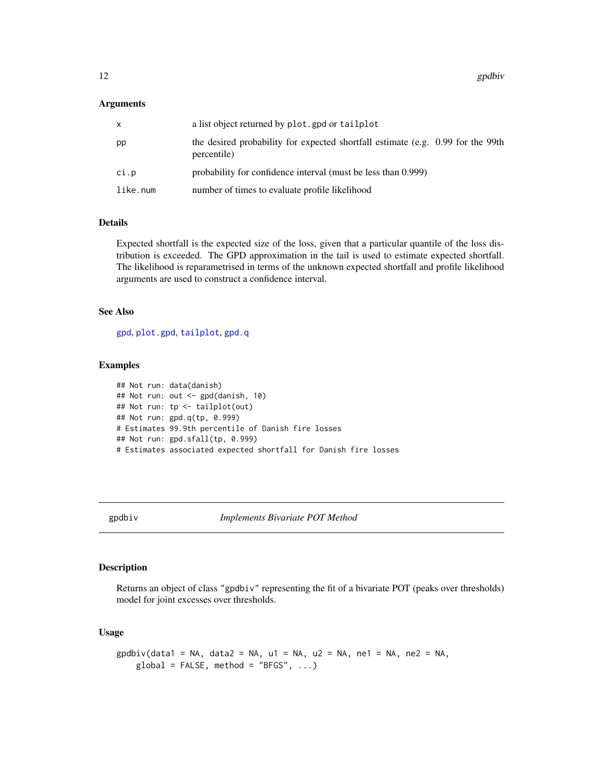### <span id="page-11-0"></span>Arguments

| x        | a list object returned by plot.gpd or tailplot                                                 |
|----------|------------------------------------------------------------------------------------------------|
| pp       | the desired probability for expected shortfall estimate (e.g. 0.99 for the 99th<br>percentile) |
| ci.p     | probability for confidence interval (must be less than 0.999)                                  |
| like.num | number of times to evaluate profile likelihood                                                 |

# Details

Expected shortfall is the expected size of the loss, given that a particular quantile of the loss distribution is exceeded. The GPD approximation in the tail is used to estimate expected shortfall. The likelihood is reparametrised in terms of the unknown expected shortfall and profile likelihood arguments are used to construct a confidence interval.

#### See Also

[gpd](#page-8-1), [plot.gpd](#page-18-1), [tailplot](#page-29-1), [gpd.q](#page-9-1)

#### Examples

```
## Not run: data(danish)
## Not run: out <- gpd(danish, 10)
## Not run: tp <- tailplot(out)
## Not run: gpd.q(tp, 0.999)
# Estimates 99.9th percentile of Danish fire losses
## Not run: gpd.sfall(tp, 0.999)
# Estimates associated expected shortfall for Danish fire losses
```
<span id="page-11-1"></span>gpdbiv *Implements Bivariate POT Method*

# Description

Returns an object of class "gpdbiv" representing the fit of a bivariate POT (peaks over thresholds) model for joint excesses over thresholds.

# Usage

```
g \cdot g \cdot g = N = NA, data2 = NA, u1 = NA, u2 = NA, ne1 = NA, ne2 = NA,
    global = FALSE, method = "BFGS", ...)
```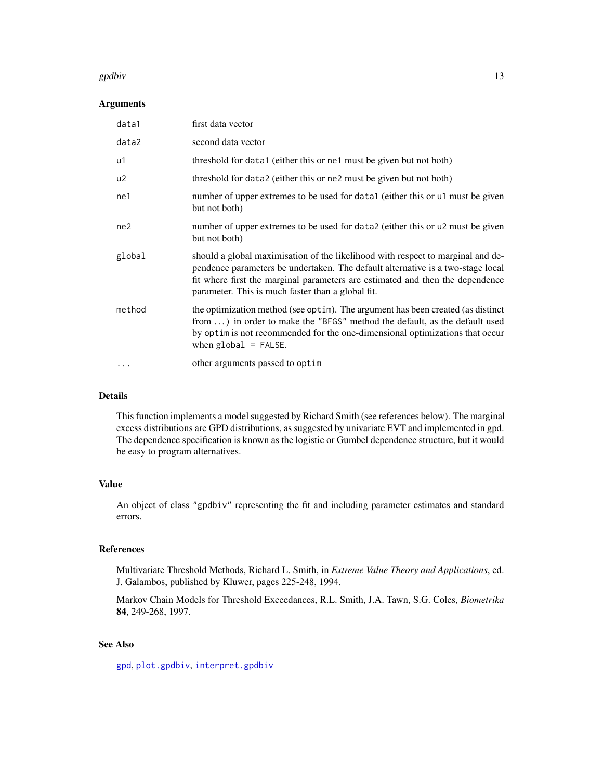#### <span id="page-12-0"></span>gpdbiv and the state of the state of the state of the state of the state of the state of the state of the state of the state of the state of the state of the state of the state of the state of the state of the state of the

# Arguments

| data1     | first data vector                                                                                                                                                                                                                                                                                        |
|-----------|----------------------------------------------------------------------------------------------------------------------------------------------------------------------------------------------------------------------------------------------------------------------------------------------------------|
| data2     | second data vector                                                                                                                                                                                                                                                                                       |
| u1        | threshold for data1 (either this or ne1 must be given but not both)                                                                                                                                                                                                                                      |
| u2        | threshold for data2 (either this or ne2 must be given but not both)                                                                                                                                                                                                                                      |
| ne1       | number of upper extremes to be used for data (either this or u must be given<br>but not both)                                                                                                                                                                                                            |
| ne2       | number of upper extremes to be used for data2 (either this or u2 must be given<br>but not both)                                                                                                                                                                                                          |
| global    | should a global maximisation of the likelihood with respect to marginal and de-<br>pendence parameters be undertaken. The default alternative is a two-stage local<br>fit where first the marginal parameters are estimated and then the dependence<br>parameter. This is much faster than a global fit. |
| method    | the optimization method (see optim). The argument has been created (as distinct<br>from ) in order to make the "BFGS" method the default, as the default used<br>by optim is not recommended for the one-dimensional optimizations that occur<br>when $global = FALSE$ .                                 |
| $\ddotsc$ | other arguments passed to optim                                                                                                                                                                                                                                                                          |

# Details

This function implements a model suggested by Richard Smith (see references below). The marginal excess distributions are GPD distributions, as suggested by univariate EVT and implemented in gpd. The dependence specification is known as the logistic or Gumbel dependence structure, but it would be easy to program alternatives.

# Value

An object of class "gpdbiv" representing the fit and including parameter estimates and standard errors.

### References

Multivariate Threshold Methods, Richard L. Smith, in *Extreme Value Theory and Applications*, ed. J. Galambos, published by Kluwer, pages 225-248, 1994.

Markov Chain Models for Threshold Exceedances, R.L. Smith, J.A. Tawn, S.G. Coles, *Biometrika* 84, 249-268, 1997.

# See Also

[gpd](#page-8-1), [plot.gpdbiv](#page-19-1), [interpret.gpdbiv](#page-15-1)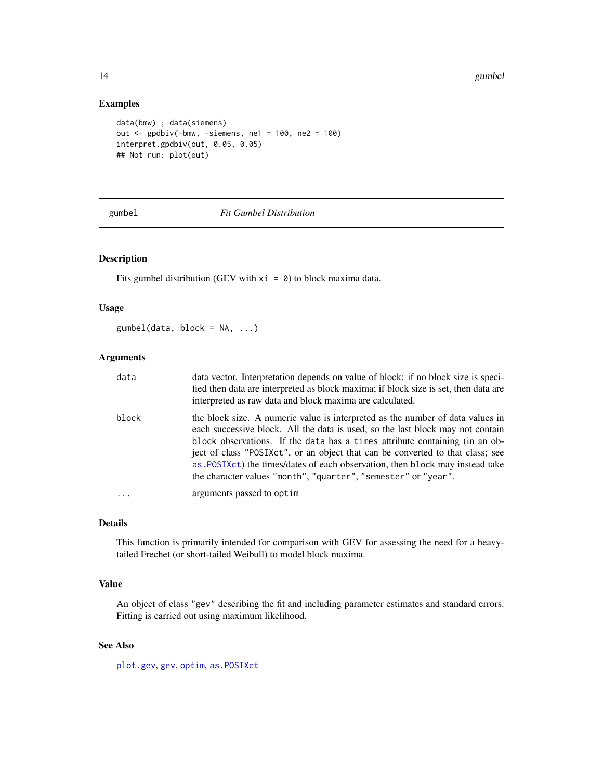# Examples

```
data(bmw) ; data(siemens)
out <- gpdbiv(-bmw, -siemens, ne1 = 100, ne2 = 100)
interpret.gpdbiv(out, 0.05, 0.05)
## Not run: plot(out)
```
# <span id="page-13-1"></span>gumbel *Fit Gumbel Distribution*

# Description

Fits gumbel distribution (GEV with  $xi = 0$ ) to block maxima data.

# Usage

 $gumbel(data, block = NA, ...)$ 

# Arguments

| data       | data vector. Interpretation depends on value of block: if no block size is speci-<br>fied then data are interpreted as block maxima; if block size is set, then data are<br>interpreted as raw data and block maxima are calculated.                                                                                                                                                                                                                                                |
|------------|-------------------------------------------------------------------------------------------------------------------------------------------------------------------------------------------------------------------------------------------------------------------------------------------------------------------------------------------------------------------------------------------------------------------------------------------------------------------------------------|
| block      | the block size. A numeric value is interpreted as the number of data values in<br>each successive block. All the data is used, so the last block may not contain<br>block observations. If the data has a times attribute containing (in an ob-<br>ject of class "POSIXct", or an object that can be converted to that class; see<br>as POSIXct) the times/dates of each observation, then block may instead take<br>the character values "month", "quarter", "semester" or "year". |
| $\ddots$ . | arguments passed to optim                                                                                                                                                                                                                                                                                                                                                                                                                                                           |

# Details

This function is primarily intended for comparison with GEV for assessing the need for a heavytailed Frechet (or short-tailed Weibull) to model block maxima.

#### Value

An object of class "gev" describing the fit and including parameter estimates and standard errors. Fitting is carried out using maximum likelihood.

# See Also

[plot.gev](#page-17-1), [gev](#page-7-1), [optim](#page-0-0), [as.POSIXct](#page-0-0)

<span id="page-13-0"></span>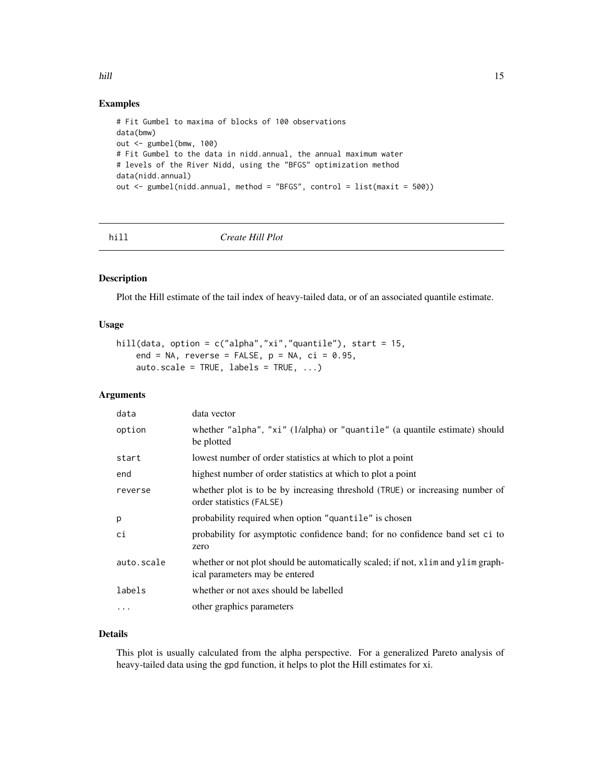<span id="page-14-0"></span>hill the contract of the contract of the contract of the contract of the contract of the contract of the contract of the contract of the contract of the contract of the contract of the contract of the contract of the contr

# Examples

```
# Fit Gumbel to maxima of blocks of 100 observations
data(bmw)
out <- gumbel(bmw, 100)
# Fit Gumbel to the data in nidd.annual, the annual maximum water
# levels of the River Nidd, using the "BFGS" optimization method
data(nidd.annual)
out <- gumbel(nidd.annual, method = "BFGS", control = list(maxit = 500))
```
<span id="page-14-1"></span>hill *Create Hill Plot*

# Description

Plot the Hill estimate of the tail index of heavy-tailed data, or of an associated quantile estimate.

# Usage

```
hill(data, option = c("alpha","xi","quantile"), start = 15,
    end = NA, reverse = FALSE, p = NA, ci = 0.95,
    auto.scale = TRUE, labels = TRUE, ...)
```
# Arguments

| data       | data vector                                                                                                        |
|------------|--------------------------------------------------------------------------------------------------------------------|
| option     | whether "alpha", "xi" (1/alpha) or "quantile" (a quantile estimate) should<br>be plotted                           |
| start      | lowest number of order statistics at which to plot a point                                                         |
| end        | highest number of order statistics at which to plot a point                                                        |
| reverse    | whether plot is to be by increasing threshold (TRUE) or increasing number of<br>order statistics (FALSE)           |
| p          | probability required when option "quantile" is chosen                                                              |
| ci         | probability for asymptotic confidence band; for no confidence band set ci to<br>zero                               |
| auto.scale | whether or not plot should be automatically scaled; if not, xlim and ylim graph-<br>ical parameters may be entered |
| labels     | whether or not axes should be labelled                                                                             |
| $\ddotsc$  | other graphics parameters                                                                                          |

# Details

This plot is usually calculated from the alpha perspective. For a generalized Pareto analysis of heavy-tailed data using the gpd function, it helps to plot the Hill estimates for xi.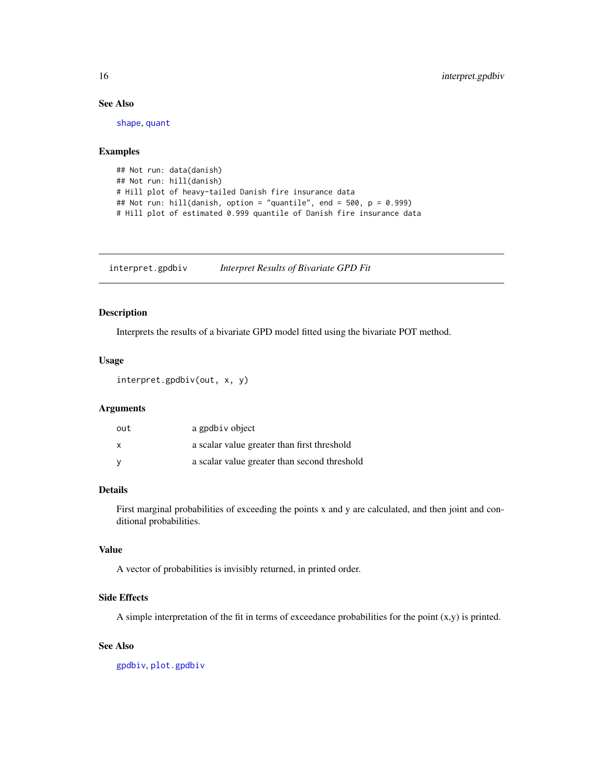# See Also

[shape](#page-27-1), [quant](#page-23-1)

# Examples

```
## Not run: data(danish)
## Not run: hill(danish)
# Hill plot of heavy-tailed Danish fire insurance data
## Not run: hill(danish, option = "quantile", end = 500, p = 0.999)
# Hill plot of estimated 0.999 quantile of Danish fire insurance data
```
<span id="page-15-1"></span>interpret.gpdbiv *Interpret Results of Bivariate GPD Fit*

#### Description

Interprets the results of a bivariate GPD model fitted using the bivariate POT method.

#### Usage

interpret.gpdbiv(out, x, y)

#### Arguments

| out | a gpdbiv object                              |
|-----|----------------------------------------------|
| X   | a scalar value greater than first threshold  |
| V   | a scalar value greater than second threshold |

# Details

First marginal probabilities of exceeding the points x and y are calculated, and then joint and conditional probabilities.

# Value

A vector of probabilities is invisibly returned, in printed order.

### Side Effects

A simple interpretation of the fit in terms of exceedance probabilities for the point  $(x,y)$  is printed.

# See Also

[gpdbiv](#page-11-1), [plot.gpdbiv](#page-19-1)

<span id="page-15-0"></span>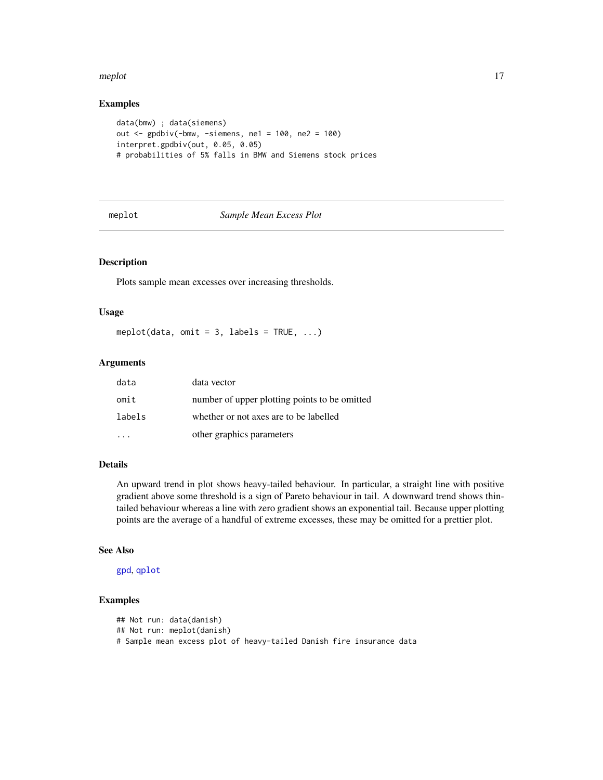#### <span id="page-16-0"></span>meplot that the contract of the contract of the contract of the contract of the contract of the contract of the contract of the contract of the contract of the contract of the contract of the contract of the contract of th

# Examples

```
data(bmw) ; data(siemens)
out <- gpdbiv(-bmw, -siemens, ne1 = 100, ne2 = 100)
interpret.gpdbiv(out, 0.05, 0.05)
# probabilities of 5% falls in BMW and Siemens stock prices
```
<span id="page-16-1"></span>

| πе | n. |  |
|----|----|--|

#### **Sample Mean Excess Plot**

#### Description

Plots sample mean excesses over increasing thresholds.

#### Usage

meplot(data, omit = 3, labels = TRUE,  $\ldots$ )

# Arguments

| data   | data vector                                   |
|--------|-----------------------------------------------|
| omit   | number of upper plotting points to be omitted |
| labels | whether or not axes are to be labelled        |
|        | other graphics parameters                     |

# Details

An upward trend in plot shows heavy-tailed behaviour. In particular, a straight line with positive gradient above some threshold is a sign of Pareto behaviour in tail. A downward trend shows thintailed behaviour whereas a line with zero gradient shows an exponential tail. Because upper plotting points are the average of a handful of extreme excesses, these may be omitted for a prettier plot.

# See Also

[gpd](#page-8-1), [qplot](#page-22-1)

```
## Not run: data(danish)
## Not run: meplot(danish)
# Sample mean excess plot of heavy-tailed Danish fire insurance data
```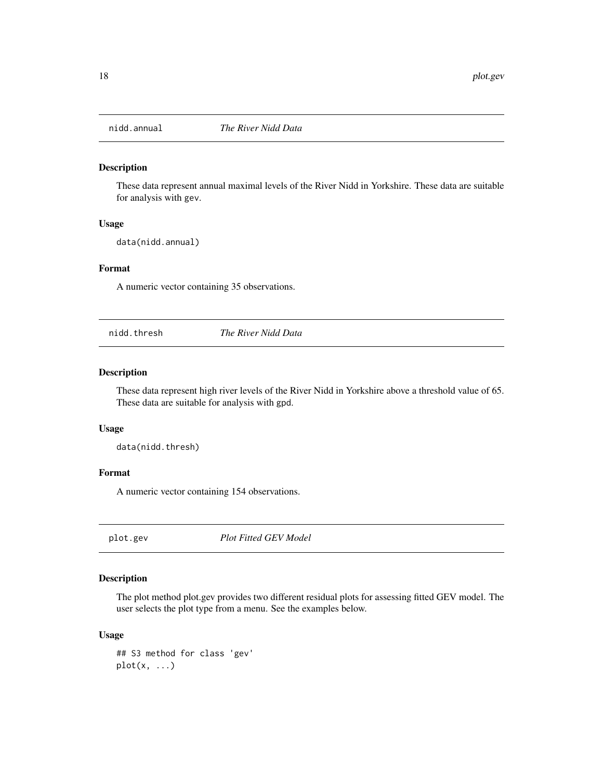<span id="page-17-0"></span>

These data represent annual maximal levels of the River Nidd in Yorkshire. These data are suitable for analysis with gev.

#### Usage

data(nidd.annual)

#### Format

A numeric vector containing 35 observations.

nidd.thresh *The River Nidd Data*

#### Description

These data represent high river levels of the River Nidd in Yorkshire above a threshold value of 65. These data are suitable for analysis with gpd.

#### Usage

data(nidd.thresh)

#### Format

A numeric vector containing 154 observations.

<span id="page-17-1"></span>plot.gev *Plot Fitted GEV Model*

# Description

The plot method plot.gev provides two different residual plots for assessing fitted GEV model. The user selects the plot type from a menu. See the examples below.

# Usage

## S3 method for class 'gev' plot(x, ...)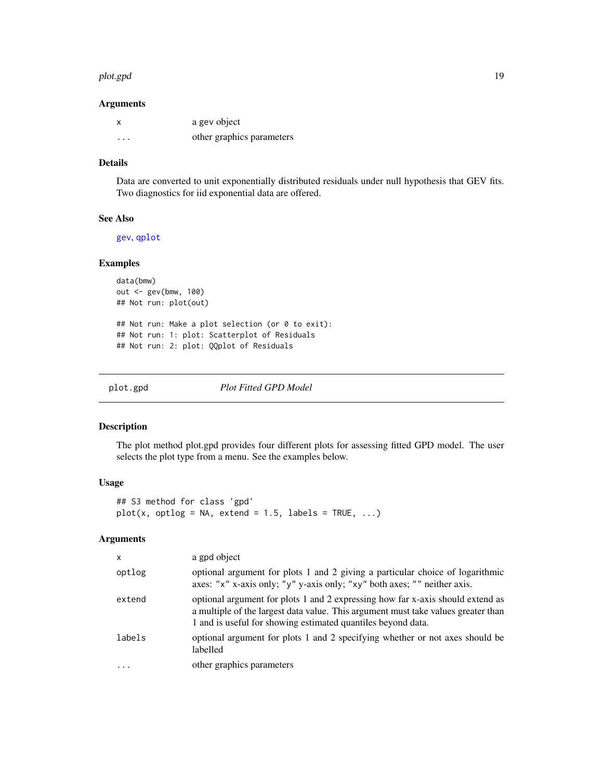#### <span id="page-18-0"></span>plot.gpd 19

#### Arguments

| x | a gev object              |
|---|---------------------------|
| . | other graphics parameters |

#### Details

Data are converted to unit exponentially distributed residuals under null hypothesis that GEV fits. Two diagnostics for iid exponential data are offered.

# See Also

[gev](#page-7-1), [qplot](#page-22-1)

# Examples

data(bmw) out <- gev(bmw, 100) ## Not run: plot(out) ## Not run: Make a plot selection (or 0 to exit): ## Not run: 1: plot: Scatterplot of Residuals

## Not run: 2: plot: QQplot of Residuals

<span id="page-18-1"></span>

plot.gpd *Plot Fitted GPD Model*

#### Description

The plot method plot.gpd provides four different plots for assessing fitted GPD model. The user selects the plot type from a menu. See the examples below.

#### Usage

## S3 method for class 'gpd'  $plot(x, optlog = NA, extend = 1.5, labels = TRUE, ...)$ 

# Arguments

| $\mathsf{x}$ | a gpd object                                                                                                                                                                                                                        |
|--------------|-------------------------------------------------------------------------------------------------------------------------------------------------------------------------------------------------------------------------------------|
| optlog       | optional argument for plots 1 and 2 giving a particular choice of logarithmic<br>axes: "x" x-axis only; "y" y-axis only; "xy" both axes; "" neither axis.                                                                           |
| extend       | optional argument for plots 1 and 2 expressing how far x-axis should extend as<br>a multiple of the largest data value. This argument must take values greater than<br>1 and is useful for showing estimated quantiles beyond data. |
| labels       | optional argument for plots 1 and 2 specifying whether or not axes should be<br>labelled                                                                                                                                            |
| $\ddotsc$    | other graphics parameters                                                                                                                                                                                                           |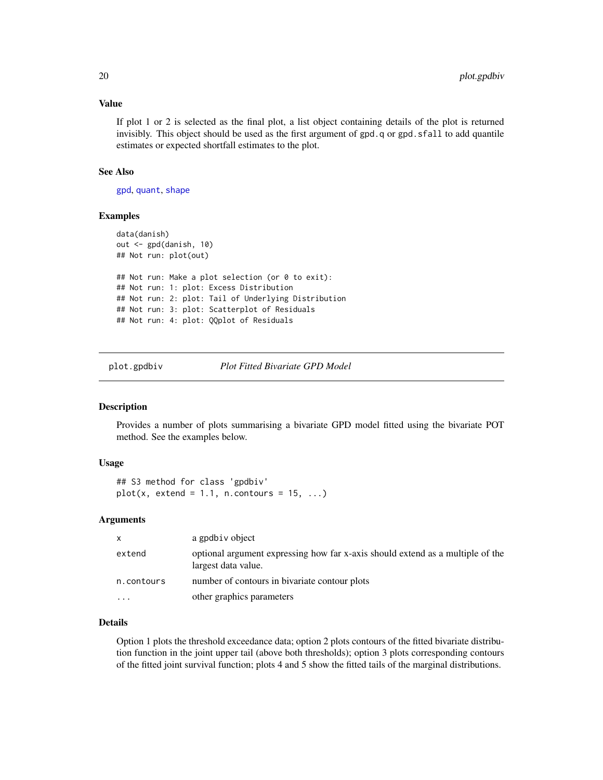# <span id="page-19-0"></span>Value

If plot 1 or 2 is selected as the final plot, a list object containing details of the plot is returned invisibly. This object should be used as the first argument of  $gpd.q$  or  $gpd.sfall$  to add quantile estimates or expected shortfall estimates to the plot.

#### See Also

[gpd](#page-8-1), [quant](#page-23-1), [shape](#page-27-1)

# Examples

```
data(danish)
out <- gpd(danish, 10)
## Not run: plot(out)
## Not run: Make a plot selection (or 0 to exit):
## Not run: 1: plot: Excess Distribution
## Not run: 2: plot: Tail of Underlying Distribution
## Not run: 3: plot: Scatterplot of Residuals
## Not run: 4: plot: QQplot of Residuals
```
<span id="page-19-1"></span>

plot.gpdbiv *Plot Fitted Bivariate GPD Model*

# Description

Provides a number of plots summarising a bivariate GPD model fitted using the bivariate POT method. See the examples below.

#### Usage

## S3 method for class 'gpdbiv'  $plot(x, extend = 1.1, n.contrib = 15, ...)$ 

#### Arguments

| x          | a gpdbiv object                                                                                       |
|------------|-------------------------------------------------------------------------------------------------------|
| extend     | optional argument expressing how far x-axis should extend as a multiple of the<br>largest data value. |
| n.contours | number of contours in bivariate contour plots                                                         |
| $\ddotsc$  | other graphics parameters                                                                             |

# Details

Option 1 plots the threshold exceedance data; option 2 plots contours of the fitted bivariate distribution function in the joint upper tail (above both thresholds); option 3 plots corresponding contours of the fitted joint survival function; plots 4 and 5 show the fitted tails of the marginal distributions.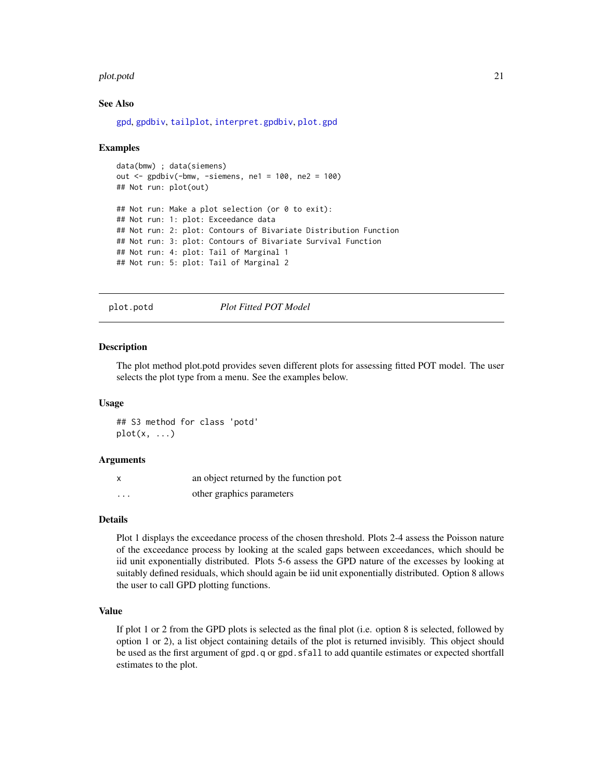#### <span id="page-20-0"></span>plot.potd 21

#### See Also

[gpd](#page-8-1), [gpdbiv](#page-11-1), [tailplot](#page-29-1), [interpret.gpdbiv](#page-15-1), [plot.gpd](#page-18-1)

#### Examples

```
data(bmw) ; data(siemens)
out \le gpdbiv(-bmw, -siemens, ne1 = 100, ne2 = 100)
## Not run: plot(out)
## Not run: Make a plot selection (or 0 to exit):
## Not run: 1: plot: Exceedance data
## Not run: 2: plot: Contours of Bivariate Distribution Function
## Not run: 3: plot: Contours of Bivariate Survival Function
## Not run: 4: plot: Tail of Marginal 1
## Not run: 5: plot: Tail of Marginal 2
```
<span id="page-20-1"></span>

plot.potd *Plot Fitted POT Model*

#### Description

The plot method plot.potd provides seven different plots for assessing fitted POT model. The user selects the plot type from a menu. See the examples below.

#### Usage

## S3 method for class 'potd'  $plot(x, \ldots)$ 

#### Arguments

|          | an object returned by the function pot |
|----------|----------------------------------------|
| $\cdots$ | other graphics parameters              |

#### Details

Plot 1 displays the exceedance process of the chosen threshold. Plots 2-4 assess the Poisson nature of the exceedance process by looking at the scaled gaps between exceedances, which should be iid unit exponentially distributed. Plots 5-6 assess the GPD nature of the excesses by looking at suitably defined residuals, which should again be iid unit exponentially distributed. Option 8 allows the user to call GPD plotting functions.

#### Value

If plot 1 or 2 from the GPD plots is selected as the final plot (i.e. option 8 is selected, followed by option 1 or 2), a list object containing details of the plot is returned invisibly. This object should be used as the first argument of gpd.q or gpd.sfall to add quantile estimates or expected shortfall estimates to the plot.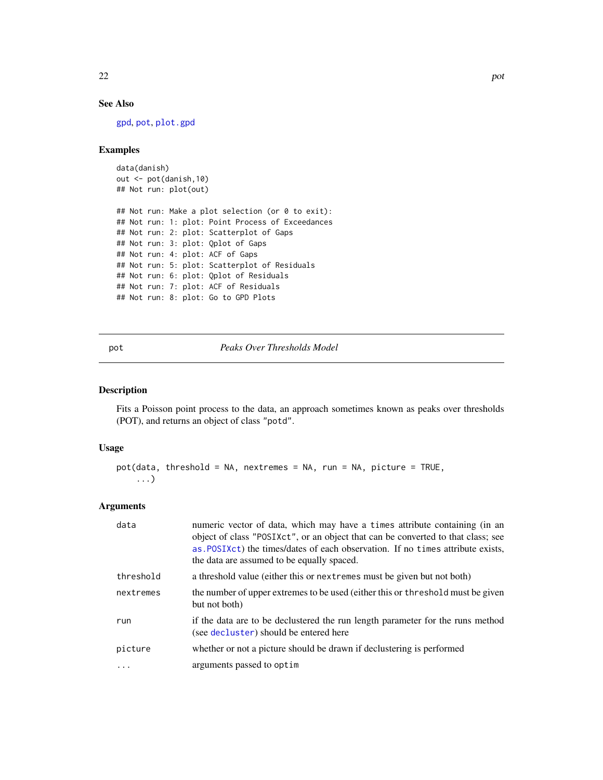# See Also

[gpd](#page-8-1), [pot](#page-21-1), [plot.gpd](#page-18-1)

# Examples

```
data(danish)
out <- pot(danish,10)
## Not run: plot(out)
## Not run: Make a plot selection (or 0 to exit):
## Not run: 1: plot: Point Process of Exceedances
## Not run: 2: plot: Scatterplot of Gaps
## Not run: 3: plot: Qplot of Gaps
## Not run: 4: plot: ACF of Gaps
## Not run: 5: plot: Scatterplot of Residuals
## Not run: 6: plot: Qplot of Residuals
## Not run: 7: plot: ACF of Residuals
## Not run: 8: plot: Go to GPD Plots
```
# <span id="page-21-1"></span>pot *Peaks Over Thresholds Model*

### Description

Fits a Poisson point process to the data, an approach sometimes known as peaks over thresholds (POT), and returns an object of class "potd".

#### Usage

```
pot(data, threshold = NA, nextremes = NA, run = NA, picture = TRUE,
    ...)
```
#### Arguments

| data      | numeric vector of data, which may have a times attribute containing (in an<br>object of class "POSIXct", or an object that can be converted to that class; see<br>as POSIXct) the times/dates of each observation. If no times attribute exists,<br>the data are assumed to be equally spaced. |
|-----------|------------------------------------------------------------------------------------------------------------------------------------------------------------------------------------------------------------------------------------------------------------------------------------------------|
| threshold | a threshold value (either this or next remes must be given but not both)                                                                                                                                                                                                                       |
| nextremes | the number of upper extremes to be used (either this or threshold must be given<br>but not both)                                                                                                                                                                                               |
| run       | if the data are to be declustered the run length parameter for the runs method<br>(see decluster) should be entered here                                                                                                                                                                       |
| picture   | whether or not a picture should be drawn if declustering is performed                                                                                                                                                                                                                          |
| .         | arguments passed to optim                                                                                                                                                                                                                                                                      |

<span id="page-21-0"></span>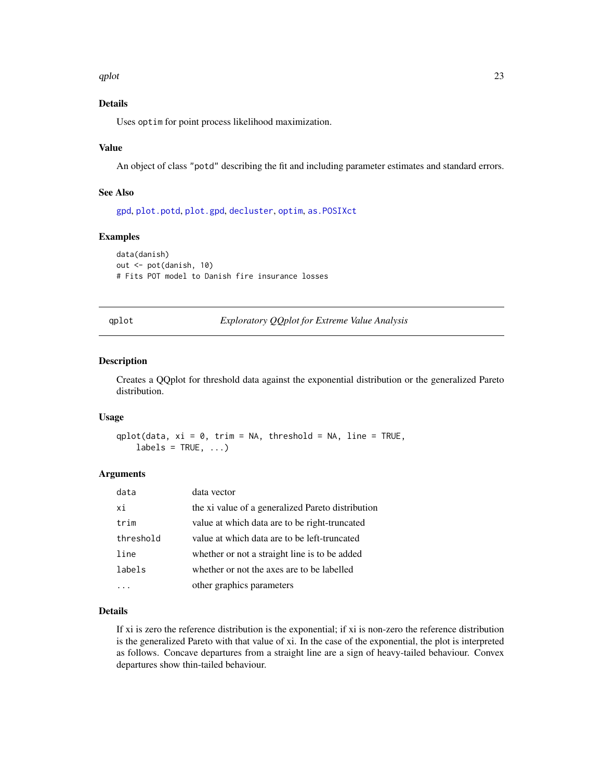<span id="page-22-0"></span> $q$ plot $q$ 

# Details

Uses optim for point process likelihood maximization.

#### Value

An object of class "potd" describing the fit and including parameter estimates and standard errors.

# See Also

[gpd](#page-8-1), [plot.potd](#page-20-1), [plot.gpd](#page-18-1), [decluster](#page-2-1), [optim](#page-0-0), [as.POSIXct](#page-0-0)

#### Examples

```
data(danish)
out <- pot(danish, 10)
# Fits POT model to Danish fire insurance losses
```
<span id="page-22-1"></span>qplot *Exploratory QQplot for Extreme Value Analysis*

#### Description

Creates a QQplot for threshold data against the exponential distribution or the generalized Pareto distribution.

# Usage

qplot(data,  $xi = 0$ , trim = NA, threshold = NA, line = TRUE,  $labels = TRUE, ...)$ 

#### Arguments

| data      | data vector                                       |
|-----------|---------------------------------------------------|
| xi        | the xi value of a generalized Pareto distribution |
| trim      | value at which data are to be right-truncated     |
| threshold | value at which data are to be left-truncated      |
| line      | whether or not a straight line is to be added     |
| labels    | whether or not the axes are to be labelled        |
|           | other graphics parameters                         |

#### Details

If xi is zero the reference distribution is the exponential; if xi is non-zero the reference distribution is the generalized Pareto with that value of xi. In the case of the exponential, the plot is interpreted as follows. Concave departures from a straight line are a sign of heavy-tailed behaviour. Convex departures show thin-tailed behaviour.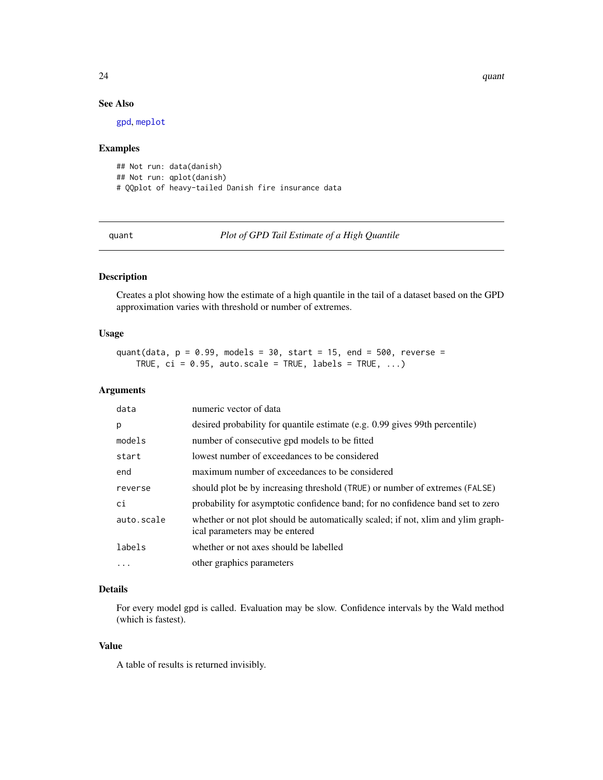$24$  quant

# See Also

[gpd](#page-8-1), [meplot](#page-16-1)

#### Examples

```
## Not run: data(danish)
## Not run: qplot(danish)
# QQplot of heavy-tailed Danish fire insurance data
```
<span id="page-23-1"></span>quant *Plot of GPD Tail Estimate of a High Quantile*

# Description

Creates a plot showing how the estimate of a high quantile in the tail of a dataset based on the GPD approximation varies with threshold or number of extremes.

#### Usage

```
quant(data, p = 0.99, models = 30, start = 15, end = 500, reverse =
   TRUE, ci = 0.95, auto.scale = TRUE, labels = TRUE, ...)
```
# Arguments

| data       | numeric vector of data                                                                                             |
|------------|--------------------------------------------------------------------------------------------------------------------|
| p          | desired probability for quantile estimate (e.g. 0.99 gives 99th percentile)                                        |
| models     | number of consecutive gpd models to be fitted                                                                      |
| start      | lowest number of exceedances to be considered                                                                      |
| end        | maximum number of exceedances to be considered                                                                     |
| reverse    | should plot be by increasing threshold (TRUE) or number of extremes (FALSE)                                        |
| ci         | probability for asymptotic confidence band; for no confidence band set to zero                                     |
| auto.scale | whether or not plot should be automatically scaled; if not, xlim and ylim graph-<br>ical parameters may be entered |
| labels     | whether or not axes should be labelled                                                                             |
| $\ddotsc$  | other graphics parameters                                                                                          |

# Details

For every model gpd is called. Evaluation may be slow. Confidence intervals by the Wald method (which is fastest).

# Value

A table of results is returned invisibly.

<span id="page-23-0"></span>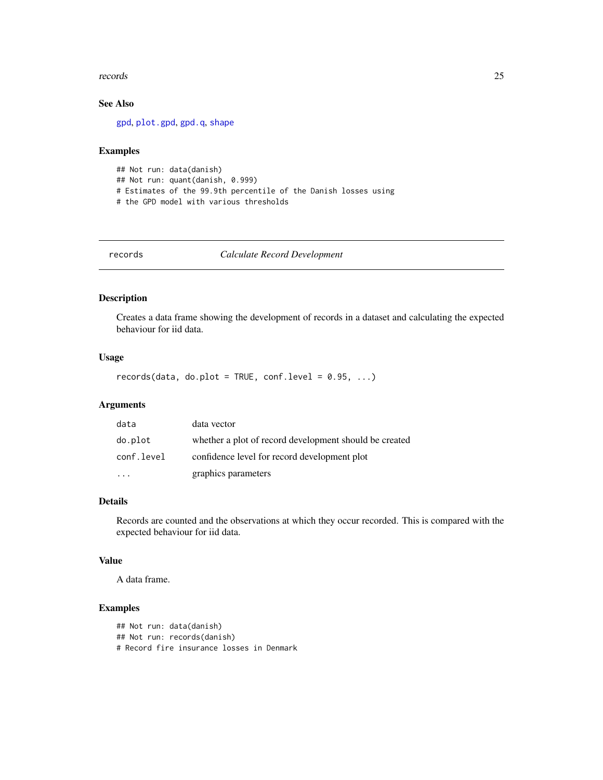#### <span id="page-24-0"></span>records 25

# See Also

[gpd](#page-8-1), [plot.gpd](#page-18-1), [gpd.q](#page-9-1), [shape](#page-27-1)

#### Examples

```
## Not run: data(danish)
## Not run: quant(danish, 0.999)
# Estimates of the 99.9th percentile of the Danish losses using
# the GPD model with various thresholds
```
records *Calculate Record Development*

# Description

Creates a data frame showing the development of records in a dataset and calculating the expected behaviour for iid data.

# Usage

records(data, do.plot = TRUE, conf.level =  $0.95, ...$ )

# Arguments

| data       | data vector                                            |
|------------|--------------------------------------------------------|
| do.plot    | whether a plot of record development should be created |
| conf.level | confidence level for record development plot           |
|            | graphics parameters                                    |

# Details

Records are counted and the observations at which they occur recorded. This is compared with the expected behaviour for iid data.

#### Value

A data frame.

# Examples

## Not run: data(danish) ## Not run: records(danish) # Record fire insurance losses in Denmark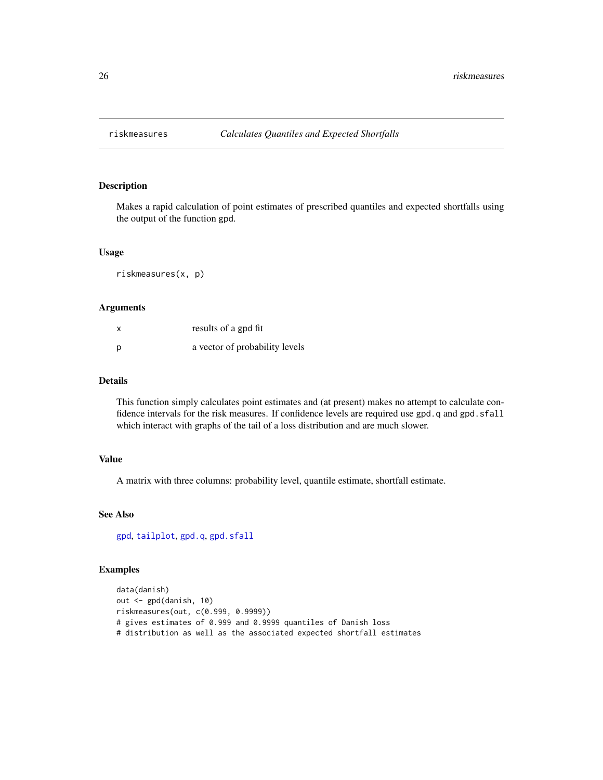<span id="page-25-0"></span>

Makes a rapid calculation of point estimates of prescribed quantiles and expected shortfalls using the output of the function gpd.

#### Usage

riskmeasures(x, p)

#### Arguments

| X | results of a gpd fit           |
|---|--------------------------------|
| p | a vector of probability levels |

# Details

This function simply calculates point estimates and (at present) makes no attempt to calculate confidence intervals for the risk measures. If confidence levels are required use gpd.q and gpd.sfall which interact with graphs of the tail of a loss distribution and are much slower.

# Value

A matrix with three columns: probability level, quantile estimate, shortfall estimate.

# See Also

[gpd](#page-8-1), [tailplot](#page-29-1), [gpd.q](#page-9-1), [gpd.sfall](#page-10-1)

```
data(danish)
out <- gpd(danish, 10)
riskmeasures(out, c(0.999, 0.9999))
# gives estimates of 0.999 and 0.9999 quantiles of Danish loss
# distribution as well as the associated expected shortfall estimates
```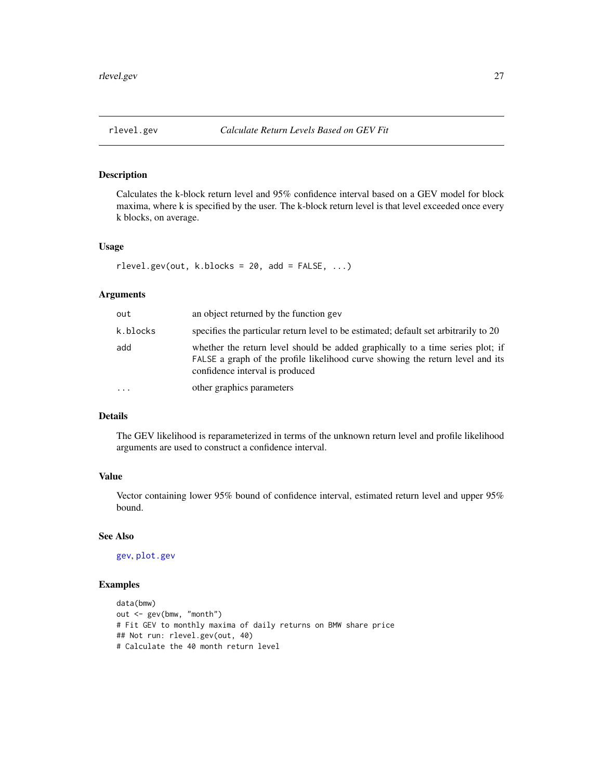<span id="page-26-0"></span>

Calculates the k-block return level and 95% confidence interval based on a GEV model for block maxima, where k is specified by the user. The k-block return level is that level exceeded once every k blocks, on average.

#### Usage

 $rlevel.getv(out, k.blocks = 20, add = FALSE, ...)$ 

# Arguments

| out       | an object returned by the function gev                                                                                                                                                              |
|-----------|-----------------------------------------------------------------------------------------------------------------------------------------------------------------------------------------------------|
| k.blocks  | specifies the particular return level to be estimated; default set arbitrarily to 20                                                                                                                |
| add       | whether the return level should be added graphically to a time series plot; if<br>FALSE a graph of the profile likelihood curve showing the return level and its<br>confidence interval is produced |
| $\ddotsc$ | other graphics parameters                                                                                                                                                                           |

# Details

The GEV likelihood is reparameterized in terms of the unknown return level and profile likelihood arguments are used to construct a confidence interval.

# Value

Vector containing lower 95% bound of confidence interval, estimated return level and upper 95% bound.

# See Also

[gev](#page-7-1), [plot.gev](#page-17-1)

```
data(bmw)
out <- gev(bmw, "month")
# Fit GEV to monthly maxima of daily returns on BMW share price
## Not run: rlevel.gev(out, 40)
# Calculate the 40 month return level
```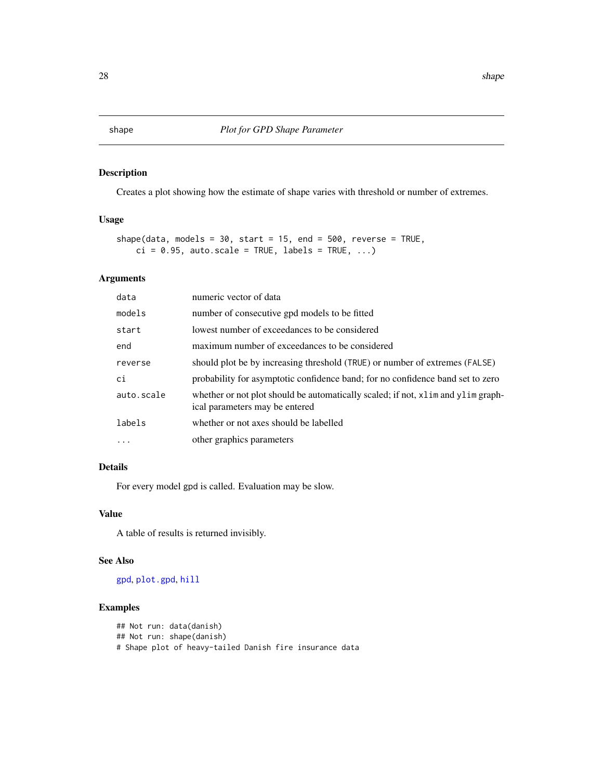<span id="page-27-1"></span><span id="page-27-0"></span>Creates a plot showing how the estimate of shape varies with threshold or number of extremes.

# Usage

```
shape(data, models = 30, start = 15, end = 500, reverse = TRUE,
   ci = 0.95, auto.scale = TRUE, labels = TRUE, ...)
```
# Arguments

| data       | numeric vector of data                                                                                             |
|------------|--------------------------------------------------------------------------------------------------------------------|
| models     | number of consecutive gpd models to be fitted                                                                      |
| start      | lowest number of exceedances to be considered                                                                      |
| end        | maximum number of exceedances to be considered                                                                     |
| reverse    | should plot be by increasing threshold (TRUE) or number of extremes (FALSE)                                        |
| ci         | probability for asymptotic confidence band; for no confidence band set to zero                                     |
| auto.scale | whether or not plot should be automatically scaled; if not, x1im and y1im graph-<br>ical parameters may be entered |
| labels     | whether or not axes should be labelled                                                                             |
| .          | other graphics parameters                                                                                          |
|            |                                                                                                                    |

# Details

For every model gpd is called. Evaluation may be slow.

#### Value

A table of results is returned invisibly.

#### See Also

[gpd](#page-8-1), [plot.gpd](#page-18-1), [hill](#page-14-1)

```
## Not run: data(danish)
## Not run: shape(danish)
# Shape plot of heavy-tailed Danish fire insurance data
```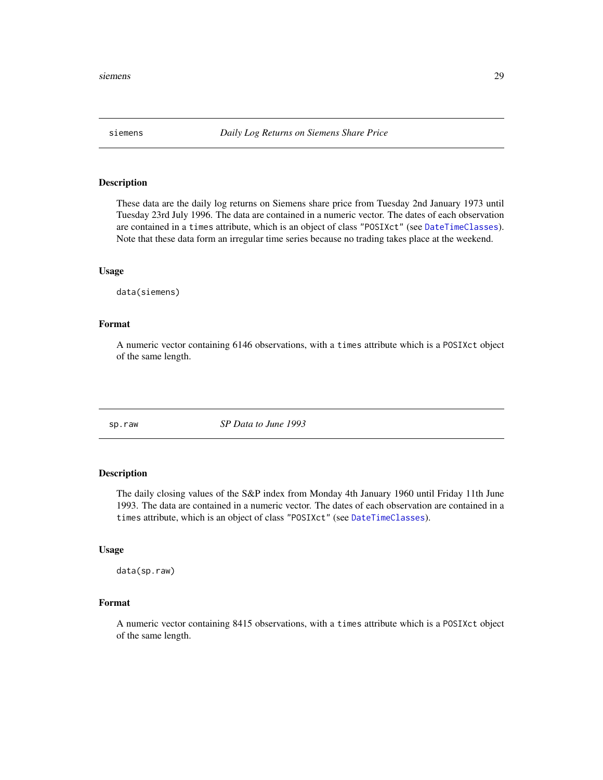<span id="page-28-0"></span>

These data are the daily log returns on Siemens share price from Tuesday 2nd January 1973 until Tuesday 23rd July 1996. The data are contained in a numeric vector. The dates of each observation are contained in a times attribute, which is an object of class "POSIXct" (see [DateTimeClasses](#page-0-0)). Note that these data form an irregular time series because no trading takes place at the weekend.

#### Usage

data(siemens)

#### Format

A numeric vector containing 6146 observations, with a times attribute which is a POSIXct object of the same length.

sp.raw *SP Data to June 1993*

#### Description

The daily closing values of the S&P index from Monday 4th January 1960 until Friday 11th June 1993. The data are contained in a numeric vector. The dates of each observation are contained in a times attribute, which is an object of class "POSIXct" (see [DateTimeClasses](#page-0-0)).

#### Usage

data(sp.raw)

#### Format

A numeric vector containing 8415 observations, with a times attribute which is a POSIXct object of the same length.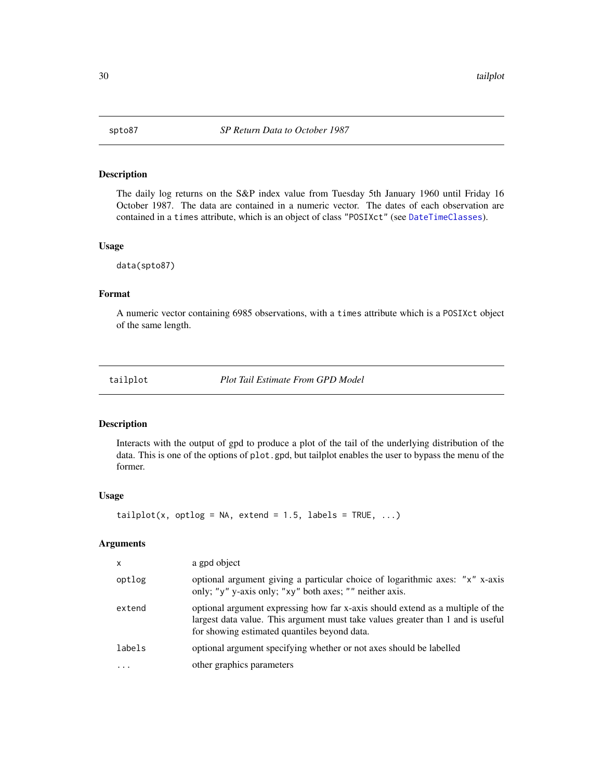<span id="page-29-0"></span>

The daily log returns on the S&P index value from Tuesday 5th January 1960 until Friday 16 October 1987. The data are contained in a numeric vector. The dates of each observation are contained in a times attribute, which is an object of class "POSIXct" (see [DateTimeClasses](#page-0-0)).

#### Usage

data(spto87)

### Format

A numeric vector containing 6985 observations, with a times attribute which is a POSIXct object of the same length.

<span id="page-29-1"></span>tailplot *Plot Tail Estimate From GPD Model*

#### Description

Interacts with the output of gpd to produce a plot of the tail of the underlying distribution of the data. This is one of the options of plot.gpd, but tailplot enables the user to bypass the menu of the former.

#### Usage

tailplot(x, optlog = NA, extend = 1.5, labels = TRUE,  $\ldots$ )

#### Arguments

| X      | a gpd object                                                                                                                                                                                                      |
|--------|-------------------------------------------------------------------------------------------------------------------------------------------------------------------------------------------------------------------|
| optlog | optional argument giving a particular choice of logarithmic axes: "x" x-axis<br>only; "y" y-axis only; "xy" both axes; "" neither axis.                                                                           |
| extend | optional argument expressing how far x-axis should extend as a multiple of the<br>largest data value. This argument must take values greater than 1 and is useful<br>for showing estimated quantiles beyond data. |
| labels | optional argument specifying whether or not axes should be labelled                                                                                                                                               |
| .      | other graphics parameters                                                                                                                                                                                         |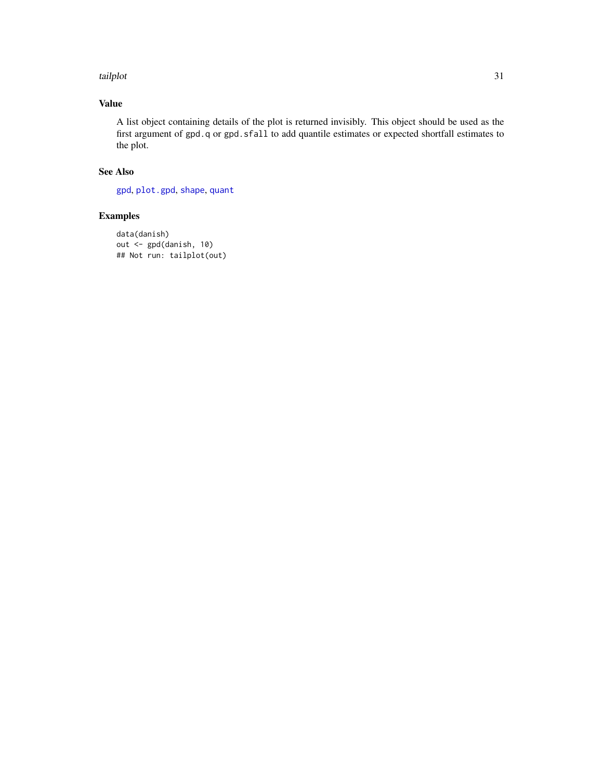#### <span id="page-30-0"></span>tailplot 31

# Value

A list object containing details of the plot is returned invisibly. This object should be used as the first argument of gpd.q or gpd.sfall to add quantile estimates or expected shortfall estimates to the plot.

# See Also

[gpd](#page-8-1), [plot.gpd](#page-18-1), [shape](#page-27-1), [quant](#page-23-1)

```
data(danish)
out <- gpd(danish, 10)
## Not run: tailplot(out)
```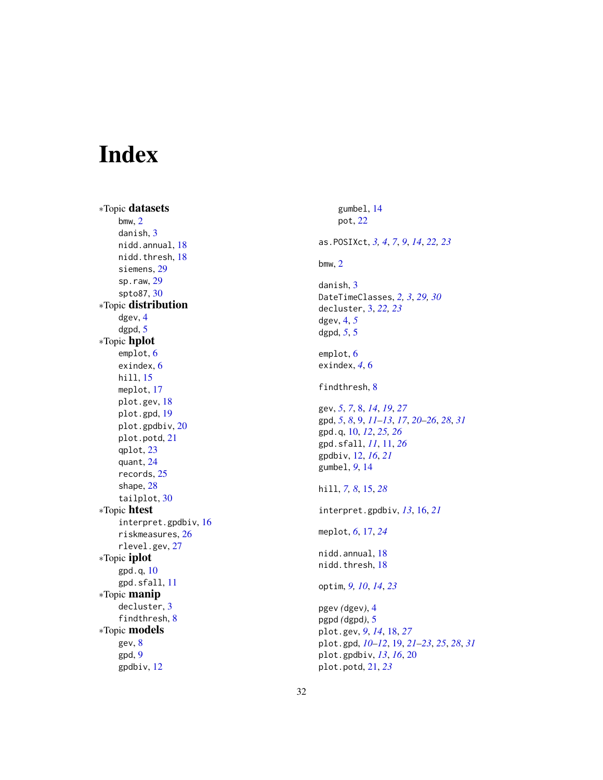# <span id="page-31-0"></span>Index

∗Topic datasets bmw , [2](#page-1-0) danish, [3](#page-2-0) nidd.annual , [18](#page-17-0) nidd.thresh, [18](#page-17-0) siemens , [29](#page-28-0) sp.raw , [29](#page-28-0) spto87 , [30](#page-29-0) ∗Topic distribution dgev , [4](#page-3-0) dgpd , [5](#page-4-0) ∗Topic hplot emplot, [6](#page-5-0) exindex , [6](#page-5-0) hill , [15](#page-14-0) meplot , [17](#page-16-0) plot.gev , [18](#page-17-0) plot.gpd , [19](#page-18-0) plot.gpdbiv , [20](#page-19-0) plot.potd , [21](#page-20-0) qplot , [23](#page-22-0) quant , [24](#page-23-0) records , [25](#page-24-0) shape , [28](#page-27-0) tailplot , [30](#page-29-0) ∗Topic htest interpret.gpdbiv , [16](#page-15-0) riskmeasures , [26](#page-25-0) rlevel.gev , [27](#page-26-0) ∗Topic iplot gpd.q , [10](#page-9-0) gpd.sfall , [11](#page-10-0) ∗Topic manip decluster , [3](#page-2-0) findthresh, [8](#page-7-0) ∗Topic models gev , [8](#page-7-0) gpd , [9](#page-8-0) gpdbiv , [12](#page-11-0)

gumbel , [14](#page-13-0) pot , [22](#page-21-0) as.POSIXct , *[3](#page-2-0) , [4](#page-3-0)* , *[7](#page-6-0)* , *[9](#page-8-0)* , *[14](#page-13-0)* , *[22](#page-21-0) , [23](#page-22-0)* bmw , [2](#page-1-0) danish, [3](#page-2-0) DateTimeClasses , *[2](#page-1-0) , [3](#page-2-0)* , *[29](#page-28-0) , [30](#page-29-0)* decluster , [3](#page-2-0) , *[22](#page-21-0) , [23](#page-22-0)* dgev , [4](#page-3-0) , *[5](#page-4-0)* dgpd , *[5](#page-4-0)* , [5](#page-4-0) emplot, [6](#page-5-0) exindex , *[4](#page-3-0)* , [6](#page-5-0) findthresh, [8](#page-7-0) gev , *[5](#page-4-0)* , *[7](#page-6-0)* , [8](#page-7-0) , *[14](#page-13-0)* , *[19](#page-18-0)* , *[27](#page-26-0)* gpd , *[5](#page-4-0)* , *[8](#page-7-0)* , [9](#page-8-0) , *[11](#page-10-0) [–13](#page-12-0)* , *[17](#page-16-0)* , *[20](#page-19-0)[–26](#page-25-0)* , *[28](#page-27-0)* , *[31](#page-30-0)* gpd.q , [10](#page-9-0) , *[12](#page-11-0)* , *[25](#page-24-0) , [26](#page-25-0)* gpd.sfall , *[11](#page-10-0)* , [11](#page-10-0) , *[26](#page-25-0)* gpdbiv , [12](#page-11-0) , *[16](#page-15-0)* , *[21](#page-20-0)* gumbel , *[9](#page-8-0)* , [14](#page-13-0) hill , *[7,](#page-6-0) [8](#page-7-0)* , [15](#page-14-0) , *[28](#page-27-0)* interpret.gpdbiv , *[13](#page-12-0)* , [16](#page-15-0) , *[21](#page-20-0)* meplot , *[6](#page-5-0)* , [17](#page-16-0) , *[24](#page-23-0)* nidd.annual, 1<mark>8</mark> nidd.thresh, [18](#page-17-0) optim , *[9](#page-8-0) , [10](#page-9-0)* , *[14](#page-13-0)* , *[23](#page-22-0)* pgev *(*dgev *)* , [4](#page-3-0) pgpd *(*dgpd *)* , [5](#page-4-0) plot.gev , *[9](#page-8-0)* , *[14](#page-13-0)* , [18](#page-17-0) , *[27](#page-26-0)* plot.gpd , *[10](#page-9-0)[–12](#page-11-0)* , [19](#page-18-0) , *[21](#page-20-0) [–23](#page-22-0)* , *[25](#page-24-0)* , *[28](#page-27-0)* , *[31](#page-30-0)* plot.gpdbiv , *[13](#page-12-0)* , *[16](#page-15-0)* , [20](#page-19-0) plot.potd , [21](#page-20-0) , *[23](#page-22-0)*